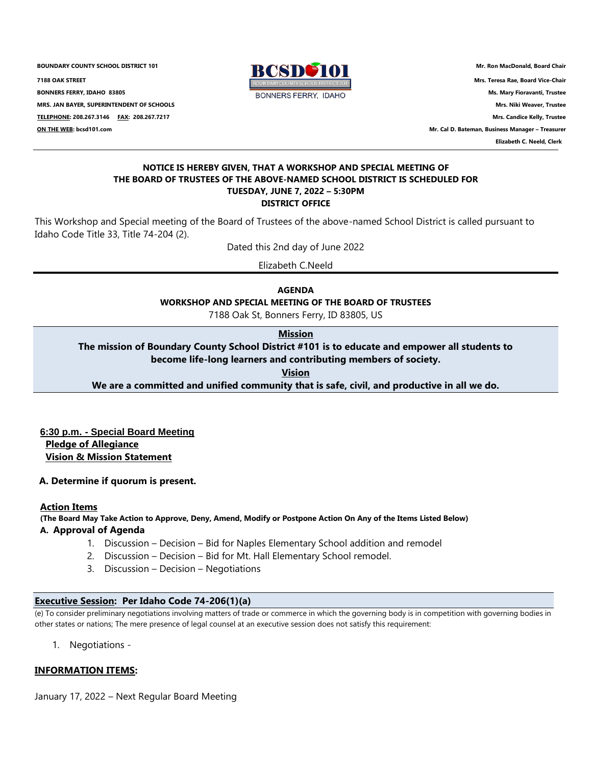**BOUNDARY COUNTY SCHOOL DISTRICT 101 Mr. Ron MacDonald, Board Chair**<br>**RANDER 7188 OAK STREET Mrs. Teresa Rae, Board Vice-Chair BONNERS FERRY, IDAHO 83805 Ms. Mary Fioravanti, Trustee MRS. JAN BAYER, SUPERINTENDENT OF SCHOOLS Mrs. Niki Weaver, Trustee TELEPHONE: 208.267.3146 FAX: 208.267.7217 Mrs. Candice Kelly, Trustee ON THE WEB: bcsd101.com Mr. Cal D. Bateman, Business Manager – Treasurer**



 **Elizabeth C. Neeld, Clerk**

#### **NOTICE IS HEREBY GIVEN, THAT A WORKSHOP AND SPECIAL MEETING OF THE BOARD OF TRUSTEES OF THE ABOVE-NAMED SCHOOL DISTRICT IS SCHEDULED FOR TUESDAY, JUNE 7, 2022 – 5:30PM DISTRICT OFFICE**

This Workshop and Special meeting of the Board of Trustees of the above-named School District is called pursuant to Idaho Code Title 33, Title 74-204 (2).

Dated this 2nd day of June 2022

Elizabeth C.Neeld

**AGENDA WORKSHOP AND SPECIAL MEETING OF THE BOARD OF TRUSTEES**

7188 Oak St, Bonners Ferry, ID 83805, US

# **Mission**

**The mission of Boundary County School District #101 is to educate and empower all students to become life-long learners and contributing members of society.**

**Vision**

**We are a committed and unified community that is safe, civil, and productive in all we do.**

 **6:30 p.m. - Special Board Meeting Pledge of Allegiance Vision & Mission Statement**

**A. Determine if quorum is present.**

## **Action Items**

**(The Board May Take Action to Approve, Deny, Amend, Modify or Postpone Action On Any of the Items Listed Below)**

## **A. Approval of Agenda**

- 1. Discussion Decision Bid for Naples Elementary School addition and remodel
- 2. Discussion Decision Bid for Mt. Hall Elementary School remodel.
- 3. Discussion Decision Negotiations

## **Executive Session: Per Idaho Code 74-206(1)(a)**

(e) To consider preliminary negotiations involving matters of trade or commerce in which the governing body is in competition with governing bodies in other states or nations; The mere presence of legal counsel at an executive session does not satisfy this requirement:

1. Negotiations -

## **INFORMATION ITEMS:**

January 17, 2022 – Next Regular Board Meeting